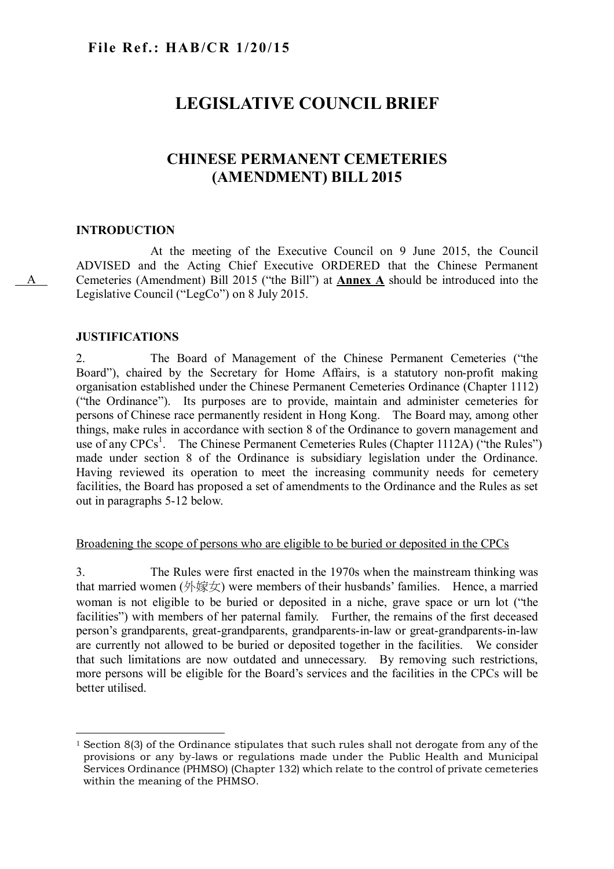# **LEGISLATIVE COUNCIL BRIEF**

# **CHINESE PERMANENT CEMETERIES (AMENDMENT) BILL 2015**

# **INTRODUCTION**

A

At the meeting of the Executive Council on 9 June 2015, the Council ADVISED and the Acting Chief Executive ORDERED that the Chinese Permanent Cemeteries (Amendment) Bill 2015 ("the Bill") at **Annex A** should be introduced into the Legislative Council ("LegCo") on 8 July 2015.

# **JUSTIFICATIONS**

2. The Board of Management of the Chinese Permanent Cemeteries ("the Board"), chaired by the Secretary for Home Affairs, is a statutory non-profit making organisation established under the Chinese Permanent Cemeteries Ordinance (Chapter 1112) ("the Ordinance"). Its purposes are to provide, maintain and administer cemeteries for persons of Chinese race permanently resident in Hong Kong. The Board may, among other things, make rules in accordance with section 8 of the Ordinance to govern management and use of any CPCs<sup>1</sup>. The Chinese Permanent Cemeteries Rules (Chapter 1112A) ("the Rules") made under section 8 of the Ordinance is subsidiary legislation under the Ordinance. Having reviewed its operation to meet the increasing community needs for cemetery facilities, the Board has proposed a set of amendments to the Ordinance and the Rules as set out in paragraphs 5-12 below.

## Broadening the scope of persons who are eligible to be buried or deposited in the CPCs

3. The Rules were first enacted in the 1970s when the mainstream thinking was that married women  $(\frac{1}{\mathcal{N}}\hat{\mathcal{K}}\hat{\mathcal{N}})$  were members of their husbands' families. Hence, a married woman is not eligible to be buried or deposited in a niche, grave space or urn lot ("the facilities") with members of her paternal family. Further, the remains of the first deceased person's grandparents, great-grandparents, grandparents-in-law or great-grandparents-in-law are currently not allowed to be buried or deposited together in the facilities. We consider that such limitations are now outdated and unnecessary. By removing such restrictions, more persons will be eligible for the Board's services and the facilities in the CPCs will be better utilised.

 $\overline{a}$ <sup>1</sup> Section 8(3) of the Ordinance stipulates that such rules shall not derogate from any of the provisions or any by-laws or regulations made under the Public Health and Municipal Services Ordinance (PHMSO) (Chapter 132) which relate to the control of private cemeteries within the meaning of the PHMSO.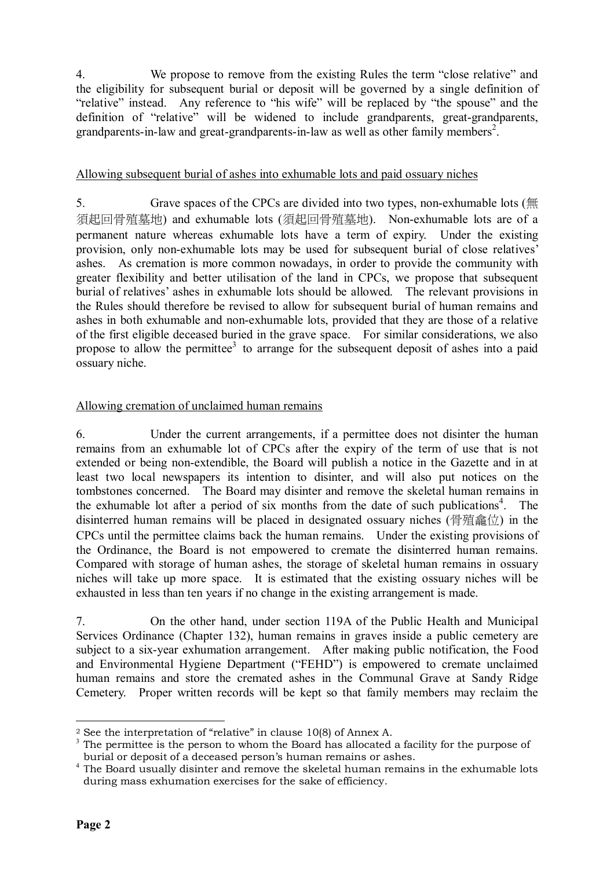4. We propose to remove from the existing Rules the term "close relative" and the eligibility for subsequent burial or deposit will be governed by a single definition of "relative" instead. Any reference to "his wife" will be replaced by "the spouse" and the definition of "relative" will be widened to include grandparents, great-grandparents, grandparents-in-law and great-grandparents-in-law as well as other family members<sup>2</sup>.

# Allowing subsequent burial of ashes into exhumable lots and paid ossuary niches

5. Grave spaces of the CPCs are divided into two types, non-exhumable lots ( $\#$ ) 須起回骨殖墓地) and exhumable lots (須起回骨殖墓地). Non-exhumable lots are of a permanent nature whereas exhumable lots have a term of expiry. Under the existing provision, only non-exhumable lots may be used for subsequent burial of close relatives' ashes. As cremation is more common nowadays, in order to provide the community with greater flexibility and better utilisation of the land in CPCs, we propose that subsequent burial of relatives' ashes in exhumable lots should be allowed. The relevant provisions in the Rules should therefore be revised to allow for subsequent burial of human remains and ashes in both exhumable and non-exhumable lots, provided that they are those of a relative of the first eligible deceased buried in the grave space. For similar considerations, we also propose to allow the permittee<sup>3</sup> to arrange for the subsequent deposit of ashes into a paid ossuary niche.

# Allowing cremation of unclaimed human remains

6. Under the current arrangements, if a permittee does not disinter the human remains from an exhumable lot of CPCs after the expiry of the term of use that is not extended or being non-extendible, the Board will publish a notice in the Gazette and in at least two local newspapers its intention to disinter, and will also put notices on the tombstones concerned. The Board may disinter and remove the skeletal human remains in the exhumable lot after a period of six months from the date of such publications<sup>4</sup>. The disinterred human remains will be placed in designated ossuary niches (骨殖龕位) in the CPCs until the permittee claims back the human remains. Under the existing provisions of the Ordinance, the Board is not empowered to cremate the disinterred human remains. Compared with storage of human ashes, the storage of skeletal human remains in ossuary niches will take up more space. It is estimated that the existing ossuary niches will be exhausted in less than ten years if no change in the existing arrangement is made.

7. On the other hand, under section 119A of the Public Health and Municipal Services Ordinance (Chapter 132), human remains in graves inside a public cemetery are subject to a six-year exhumation arrangement. After making public notification, the Food and Environmental Hygiene Department ("FEHD") is empowered to cremate unclaimed human remains and store the cremated ashes in the Communal Grave at Sandy Ridge Cemetery. Proper written records will be kept so that family members may reclaim the

 $\overline{a}$ <sup>2</sup> See the interpretation of "relative" in clause 10(8) of Annex A.

<sup>&</sup>lt;sup>3</sup> The permittee is the person to whom the Board has allocated a facility for the purpose of burial or deposit of a deceased person's human remains or ashes.

<sup>&</sup>lt;sup>4</sup> The Board usually disinter and remove the skeletal human remains in the exhumable lots during mass exhumation exercises for the sake of efficiency.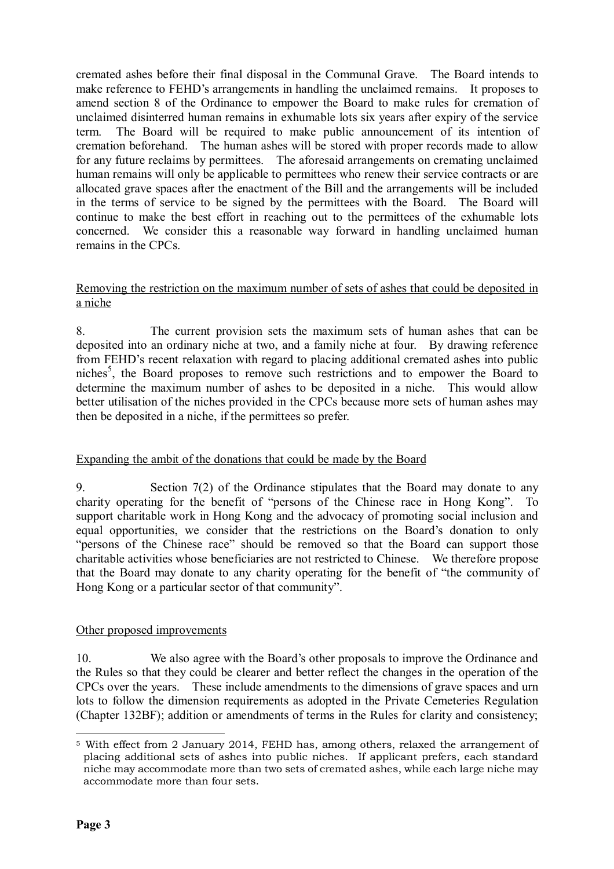cremated ashes before their final disposal in the Communal Grave. The Board intends to make reference to FEHD's arrangements in handling the unclaimed remains. It proposes to amend section 8 of the Ordinance to empower the Board to make rules for cremation of unclaimed disinterred human remains in exhumable lots six years after expiry of the service term. The Board will be required to make public announcement of its intention of cremation beforehand. The human ashes will be stored with proper records made to allow for any future reclaims by permittees. The aforesaid arrangements on cremating unclaimed human remains will only be applicable to permittees who renew their service contracts or are allocated grave spaces after the enactment of the Bill and the arrangements will be included in the terms of service to be signed by the permittees with the Board. The Board will continue to make the best effort in reaching out to the permittees of the exhumable lots concerned. We consider this a reasonable way forward in handling unclaimed human remains in the CPCs.

# Removing the restriction on the maximum number of sets of ashes that could be deposited in a niche

8. The current provision sets the maximum sets of human ashes that can be deposited into an ordinary niche at two, and a family niche at four. By drawing reference from FEHD's recent relaxation with regard to placing additional cremated ashes into public niches<sup>5</sup>, the Board proposes to remove such restrictions and to empower the Board to determine the maximum number of ashes to be deposited in a niche. This would allow better utilisation of the niches provided in the CPCs because more sets of human ashes may then be deposited in a niche, if the permittees so prefer.

# Expanding the ambit of the donations that could be made by the Board

9. Section 7(2) of the Ordinance stipulates that the Board may donate to any charity operating for the benefit of "persons of the Chinese race in Hong Kong". To support charitable work in Hong Kong and the advocacy of promoting social inclusion and equal opportunities, we consider that the restrictions on the Board's donation to only "persons of the Chinese race" should be removed so that the Board can support those charitable activities whose beneficiaries are not restricted to Chinese. We therefore propose that the Board may donate to any charity operating for the benefit of "the community of Hong Kong or a particular sector of that community".

# Other proposed improvements

10. We also agree with the Board's other proposals to improve the Ordinance and the Rules so that they could be clearer and better reflect the changes in the operation of the CPCs over the years. These include amendments to the dimensions of grave spaces and urn lots to follow the dimension requirements as adopted in the Private Cemeteries Regulation (Chapter 132BF); addition or amendments of terms in the Rules for clarity and consistency;

 $\overline{a}$ <sup>5</sup> With effect from 2 January 2014, FEHD has, among others, relaxed the arrangement of placing additional sets of ashes into public niches. If applicant prefers, each standard niche may accommodate more than two sets of cremated ashes, while each large niche may accommodate more than four sets.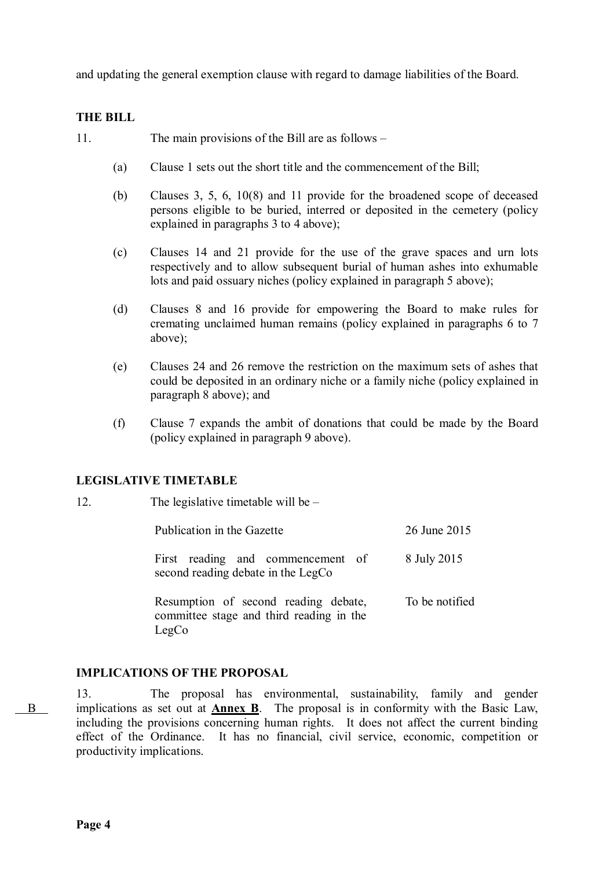and updating the general exemption clause with regard to damage liabilities of the Board.

# **THE BILL**

- 11. The main provisions of the Bill are as follows
	- (a) Clause 1 sets out the short title and the commencement of the Bill;
	- (b) Clauses 3, 5, 6, 10(8) and 11 provide for the broadened scope of deceased persons eligible to be buried, interred or deposited in the cemetery (policy explained in paragraphs 3 to 4 above);
	- (c) Clauses 14 and 21 provide for the use of the grave spaces and urn lots respectively and to allow subsequent burial of human ashes into exhumable lots and paid ossuary niches (policy explained in paragraph 5 above);
	- (d) Clauses 8 and 16 provide for empowering the Board to make rules for cremating unclaimed human remains (policy explained in paragraphs 6 to 7 above);
	- (e) Clauses 24 and 26 remove the restriction on the maximum sets of ashes that could be deposited in an ordinary niche or a family niche (policy explained in paragraph 8 above); and
	- (f) Clause 7 expands the ambit of donations that could be made by the Board (policy explained in paragraph 9 above).

# **LEGISLATIVE TIMETABLE**

| 12. | The legislative timetable will be $-$                                                     |                |  |  |  |
|-----|-------------------------------------------------------------------------------------------|----------------|--|--|--|
|     | Publication in the Gazette                                                                | 26 June 2015   |  |  |  |
|     | First reading and commencement of<br>second reading debate in the LegCo                   | 8 July 2015    |  |  |  |
|     | Resumption of second reading debate,<br>committee stage and third reading in the<br>LegCo | To be notified |  |  |  |

# **IMPLICATIONS OF THE PROPOSAL**

13. The proposal has environmental, sustainability, family and gender implications as set out at **Annex B**. The proposal is in conformity with the Basic Law, including the provisions concerning human rights. It does not affect the current binding effect of the Ordinance. It has no financial, civil service, economic, competition or productivity implications.

B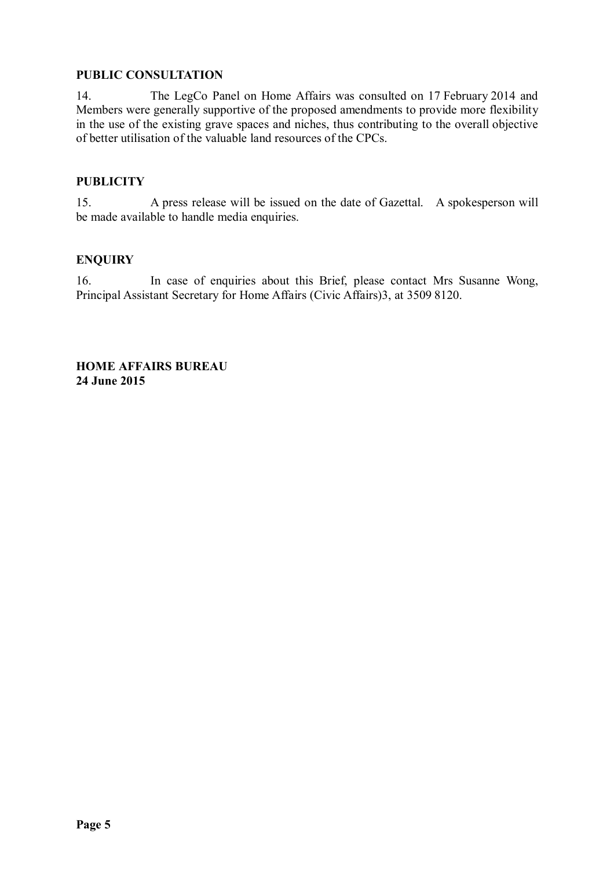# **PUBLIC CONSULTATION**

14. The LegCo Panel on Home Affairs was consulted on 17 February 2014 and Members were generally supportive of the proposed amendments to provide more flexibility in the use of the existing grave spaces and niches, thus contributing to the overall objective of better utilisation of the valuable land resources of the CPCs.

# **PUBLICITY**

15. A press release will be issued on the date of Gazettal. A spokesperson will be made available to handle media enquiries.

# **ENQUIRY**

16. In case of enquiries about this Brief, please contact Mrs Susanne Wong, Principal Assistant Secretary for Home Affairs (Civic Affairs)3, at 3509 8120.

**HOME AFFAIRS BUREAU 24 June 2015**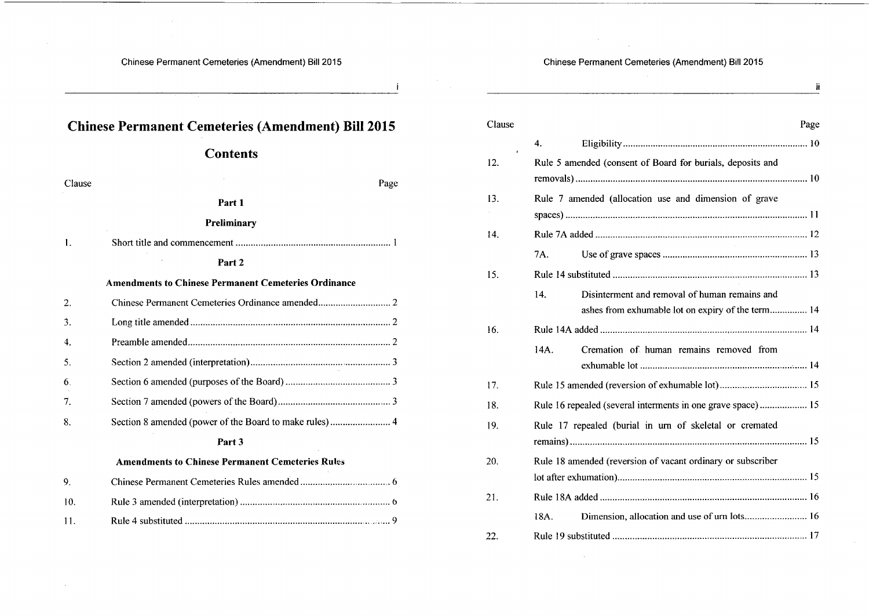$\ddot{\phantom{1}}$ 

Chinese Permanent Cemeteries (Amendment) Bill 2015

 $\ddot{\textbf{i}}$ 

 $\chi$ 

 $\sim$   $\sim$ 

| <b>Chinese Permanent Cemeteries (Amendment) Bill 2015</b> |                                                             |  |  |  |  |
|-----------------------------------------------------------|-------------------------------------------------------------|--|--|--|--|
|                                                           | <b>Contents</b>                                             |  |  |  |  |
| Clause                                                    | Page                                                        |  |  |  |  |
|                                                           | Part 1                                                      |  |  |  |  |
|                                                           | Preliminary                                                 |  |  |  |  |
| 1.                                                        |                                                             |  |  |  |  |
|                                                           | Part <sub>2</sub>                                           |  |  |  |  |
|                                                           | <b>Amendments to Chinese Permanent Cemeteries Ordinance</b> |  |  |  |  |
| 2.                                                        |                                                             |  |  |  |  |
| 3.                                                        |                                                             |  |  |  |  |
| $\mathbf{4}$                                              |                                                             |  |  |  |  |
| 5.                                                        |                                                             |  |  |  |  |
| 6.                                                        |                                                             |  |  |  |  |
| 7.                                                        |                                                             |  |  |  |  |
| 8.                                                        |                                                             |  |  |  |  |
|                                                           | Part 3                                                      |  |  |  |  |
|                                                           | <b>Amendments to Chinese Permanent Cemeteries Rules</b>     |  |  |  |  |
| 9.                                                        |                                                             |  |  |  |  |
| 10.                                                       |                                                             |  |  |  |  |
| 11.                                                       |                                                             |  |  |  |  |

| Clause | Page                                                                                                      |
|--------|-----------------------------------------------------------------------------------------------------------|
| r.     | 4.                                                                                                        |
| 12.    | Rule 5 amended (consent of Board for burials, deposits and                                                |
| 13.    | Rule 7 amended (allocation use and dimension of grave                                                     |
| 14.    |                                                                                                           |
|        | 7A.                                                                                                       |
| 15.    |                                                                                                           |
|        | 14.<br>Disinterment and removal of human remains and<br>ashes from exhumable lot on expiry of the term 14 |
| 16.    |                                                                                                           |
|        | 14A.<br>Cremation of human remains removed from                                                           |
| 17.    |                                                                                                           |
| 18.    | Rule 16 repealed (several interments in one grave space) 15                                               |
| 19.    | Rule 17 repealed (burial in urn of skeletal or cremated                                                   |
| 20.    | Rule 18 amended (reversion of vacant ordinary or subscriber                                               |
| 21.    |                                                                                                           |
|        | Dimension, allocation and use of urn lots 16<br>18A.                                                      |
| 22.    |                                                                                                           |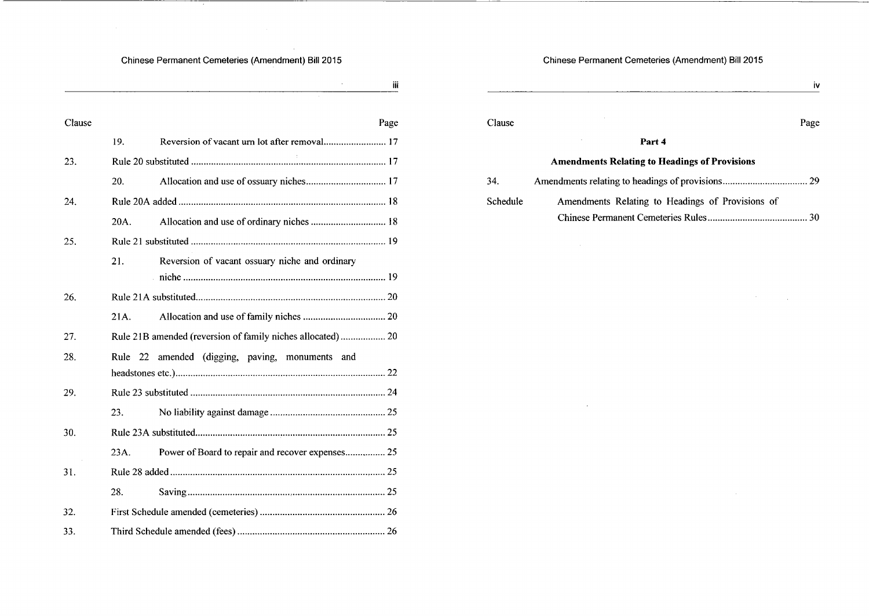$\sim 10^6$ 

\_\_\_\_\_

iii

| Clause | Page                                                      |
|--------|-----------------------------------------------------------|
|        | Reversion of vacant urn lot after removal 17<br>19.       |
| 23.    |                                                           |
|        | 20.                                                       |
| 24.    |                                                           |
|        | Allocation and use of ordinary niches  18<br>20A.         |
| 25.    |                                                           |
|        | 21.<br>Reversion of vacant ossuary niche and ordinary     |
|        |                                                           |
| 26.    |                                                           |
|        | 21A.                                                      |
| 27.    |                                                           |
| 28.    | amended (digging, paving, monuments and<br>Rule<br>22     |
|        |                                                           |
| 29.    |                                                           |
|        | 23.                                                       |
| 30.    |                                                           |
|        | Power of Board to repair and recover expenses, 25<br>23A. |
| 31.    |                                                           |
|        | 28.                                                       |
| 32.    |                                                           |
| 33.    |                                                           |

## Chinese Permanent Cemeteries (Amendment) Bill 2015

|          |                                                      | İ٧   |
|----------|------------------------------------------------------|------|
| Clause   |                                                      | Page |
|          | Part 4                                               |      |
|          | <b>Amendments Relating to Headings of Provisions</b> |      |
| 34.      |                                                      |      |
| Schedule | Amendments Relating to Headings of Provisions of     |      |
|          |                                                      | 30   |

 $\mathcal{O}(\mathcal{E}^{\mathcal{E}})$  , where  $\mathcal{E}^{\mathcal{E}}$ 

 $\sim 10^{11}$ 

 $\mathcal{L}^{\text{max}}_{\text{max}}$ 

 $\mathcal{L}^{\text{max}}_{\text{max}}$  and  $\mathcal{L}^{\text{max}}_{\text{max}}$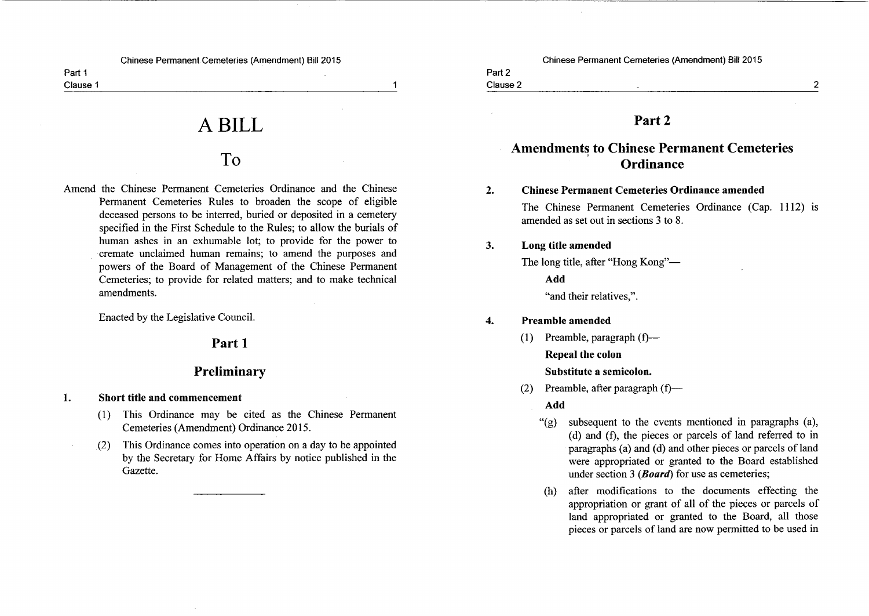Part 1 Clause 1

A BILL

# T<sub>o</sub>

Amend the Chinese Permanent Cemeteries Ordinance and the Chinese Permanent Cemeteries Rules to broaden the scope of eligible deceased persons to be interred, buried or deposited in a cemetery specified in the First Schedule to the Rules; to allow the burials of human ashes in an exhumable lot; to provide for the power to cremate unclaimed human remains; to amend the purposes and powers of the Board of Management of the Chinese Permanent Cemeteries; to provide for related matters; and to make technical amendments.

Enacted by the Legislative Council.

## Part 1

# Preliminary

- Short title and commencement 1.
	- (1) This Ordinance may be cited as the Chinese Permanent Cemeteries (Amendment) Ordinance 2015.
	- This Ordinance comes into operation on a day to be appointed  $(2)$ by the Secretary for Home Affairs by notice published in the Gazette.

Chinese Permanent Cemeteries (Amendment) Bill 2015

Part 2

 $\blacktriangleleft$ 

# Clause 2

# Part<sub>2</sub>

# **Amendments to Chinese Permanent Cemeteries Ordinance**

#### $2.$ **Chinese Permanent Cemeteries Ordinance amended**

The Chinese Permanent Cemeteries Ordinance (Cap. 1112) is amended as set out in sections 3 to 8.

#### $\mathbf{3}$ . Long title amended

The long title, after "Hong Kong"-Add "and their relatives,".

#### Preamble amended  $\boldsymbol{4}$ .

- $(1)$  Preamble, paragraph  $(f)$  Repeal the colon Substitute a semicolon.
- Preamble, after paragraph (f)—  $(2)$

Add

- subsequent to the events mentioned in paragraphs (a),  $"({g})"$ (d) and (f), the pieces or parcels of land referred to in paragraphs (a) and (d) and other pieces or parcels of land were appropriated or granted to the Board established under section 3 (*Board*) for use as cemeteries;
- after modifications to the documents effecting the (h) appropriation or grant of all of the pieces or parcels of land appropriated or granted to the Board, all those pieces or parcels of land are now permitted to be used in

 $\overline{2}$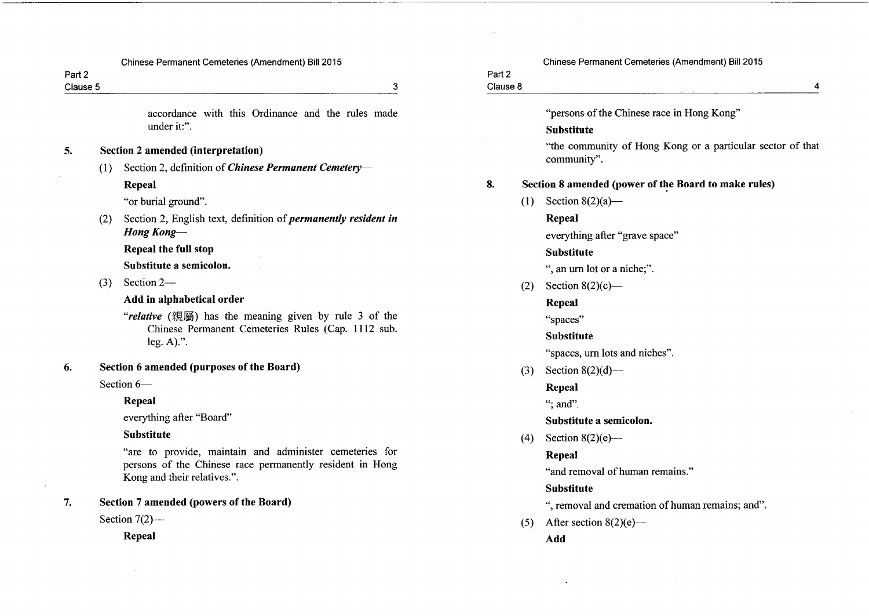| Part 2<br>Clause 5 |     | 3                                                                                       | Part 2<br>Clause 8 |     | 4                                                                         |
|--------------------|-----|-----------------------------------------------------------------------------------------|--------------------|-----|---------------------------------------------------------------------------|
|                    |     | accordance with this Ordinance and the rules made                                       |                    |     | "persons of the Chinese race in Hong Kong"                                |
|                    |     | under it:".                                                                             |                    |     | <b>Substitute</b>                                                         |
| 5.                 |     | <b>Section 2 amended (interpretation)</b>                                               |                    |     | "the community of Hong Kong or a particular sector of that<br>community". |
|                    | (1) | Section 2, definition of <i>Chinese Permanent Cemetery</i> —                            |                    |     |                                                                           |
|                    |     | Repeal                                                                                  | 8.                 |     | Section 8 amended (power of the Board to make rules)                      |
|                    |     | "or burial ground".                                                                     |                    | (1) | Section $8(2)(a)$ —                                                       |
|                    | (2) | Section 2, English text, definition of <i>permanently resident in</i>                   |                    |     | Repeal                                                                    |
|                    |     | <b>Hong Kong-</b>                                                                       |                    |     | everything after "grave space"                                            |
|                    |     | Repeal the full stop                                                                    |                    |     | <b>Substitute</b>                                                         |
|                    |     | Substitute a semicolon.                                                                 |                    |     | ", an urn lot or a niche;".                                               |
|                    | (3) | Section 2-                                                                              |                    | (2) | Section $8(2)(c)$ —                                                       |
|                    |     | Add in alphabetical order                                                               |                    |     | Repeal                                                                    |
|                    |     | "relative (親屬) has the meaning given by rule 3 of the                                   |                    |     | "spaces"                                                                  |
|                    |     | Chinese Permanent Cemeteries Rules (Cap. 1112 sub.<br>$leg. A).$ ".                     |                    |     | <b>Substitute</b>                                                         |
|                    |     |                                                                                         |                    |     | "spaces, urn lots and niches".                                            |
| 6.                 |     | Section 6 amended (purposes of the Board)                                               |                    | (3) | Section $8(2)(d)$ —                                                       |
|                    |     | Section 6-                                                                              |                    |     | Repeal                                                                    |
|                    |     | <b>Repeal</b>                                                                           |                    |     | "; and".                                                                  |
|                    |     | everything after "Board"                                                                |                    |     | Substitute a semicolon.                                                   |
|                    |     | <b>Substitute</b>                                                                       |                    | (4) | Section $8(2)(e)$ —                                                       |
|                    |     | "are to provide, maintain and administer cemeteries for                                 |                    |     | Repeal                                                                    |
|                    |     | persons of the Chinese race permanently resident in Hong<br>Kong and their relatives.". |                    |     | "and removal of human remains."                                           |
|                    |     |                                                                                         |                    |     | <b>Substitute</b>                                                         |
| 7.                 |     | Section 7 amended (powers of the Board)                                                 |                    |     | ", removal and cremation of human remains; and".                          |
|                    |     | Section $7(2)$ --                                                                       |                    | (5) | After section $8(2)(e)$ —                                                 |
|                    |     | Repeal                                                                                  |                    |     | Add                                                                       |

 $\sim$ 

 $\sim$ 

Chinese Permanent Cemeteries (Amendment) Bill 2015

 $\overline{4}$ 

 $\sim 10^{-1}$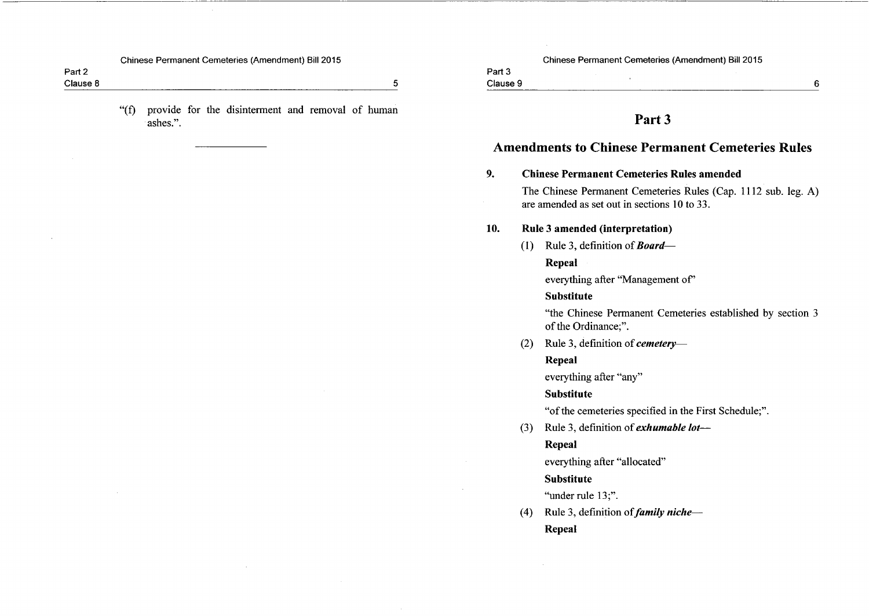Part 2 Clause 8

> "(f) provide for the disinterment and removal of human ashes.".

Chinese Permanent Cemeteries (Amendment) Bill 2015

 $\mathcal{L}$ 

Part 3 Clause 9

 $5\phantom{.0}$ 

## Part 3

# **Amendments to Chinese Permanent Cemeteries Rules**

#### $9<sub>1</sub>$ **Chinese Permanent Cemeteries Rules amended**

The Chinese Permanent Cemeteries Rules (Cap. 1112 sub. leg. A) are amended as set out in sections 10 to 33.

#### Rule 3 amended (interpretation) 10.

(1) Rule 3, definition of **Board**—

## Repeal

everything after "Management of"

## **Substitute**

"the Chinese Permanent Cemeteries established by section 3 of the Ordinance;".

Rule 3, definition of *cemetery*—  $(2)$ 

## Repeal

everything after "any"

#### **Substitute**

"of the cemeteries specified in the First Schedule;".

(3) Rule 3, definition of *exhumable lot—* 

## Repeal

everything after "allocated"

### **Substitute**

"under rule 13;".

Rule 3, definition of *family niche*—  $(4)$ Repeal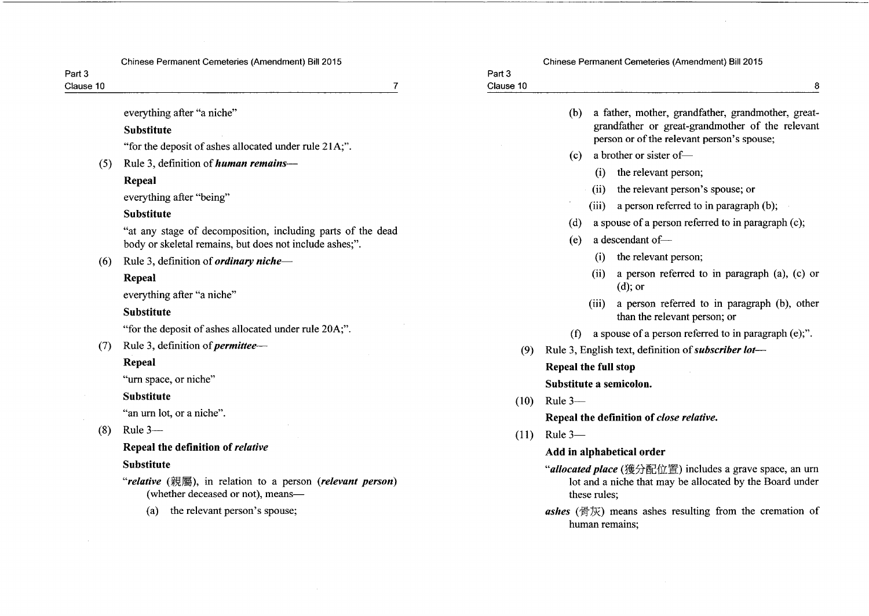Part 3 Clause 10

Part 3  $\overline{7}$ Clause 10 8 everything after "a niche" (b) a father, mother, grandfather, grandmother, greatgrandfather or great-grandmother of the relevant **Substitute** person or of the relevant person's spouse; "for the deposit of ashes allocated under rule 21A;". (c) a brother or sister of-Rule 3, definition of *human remains*—  $(5)$ (i) the relevant person; **Repeal** (ii) the relevant person's spouse; or everything after "being" (iii) a person referred to in paragraph  $(b)$ ; **Substitute** (d) a spouse of a person referred to in paragraph (c); "at any stage of decomposition, including parts of the dead a descendant of- $(e)$ body or skeletal remains, but does not include ashes;". (i) the relevant person: Rule 3, definition of *ordinary niche*—  $(6)$ (ii) a person referred to in paragraph  $(a)$ ,  $(c)$  or Repeal  $(d)$ ; or everything after "a niche" (iii) a person referred to in paragraph (b), other **Substitute** than the relevant person; or "for the deposit of ashes allocated under rule 20A;". (f) a spouse of a person referred to in paragraph (e);".  $(7)$  Rule 3, definition of *permittee*— Rule 3, English text, definition of *subscriber lot*—  $(9)$ Repeal **Repeal the full stop** "urn space, or niche" Substitute a semicolon. **Substitute**  $(10)$  Rule 3-"an urn lot, or a niche". Repeal the definition of close relative.  $(8)$ Rule  $3 (11)$  Rule 3-Repeal the definition of relative Add in alphabetical order **Substitute** "allocated place (獲分配位置) includes a grave space, an urn "relative (親屬), in relation to a person (relevant person) lot and a niche that may be allocated by the Board under (whether deceased or not), meansthese rules; the relevant person's spouse; **ashes** (骨灰) means ashes resulting from the cremation of  $(a)$ human remains:

Chinese Permanent Cemeteries (Amendment) Bill 2015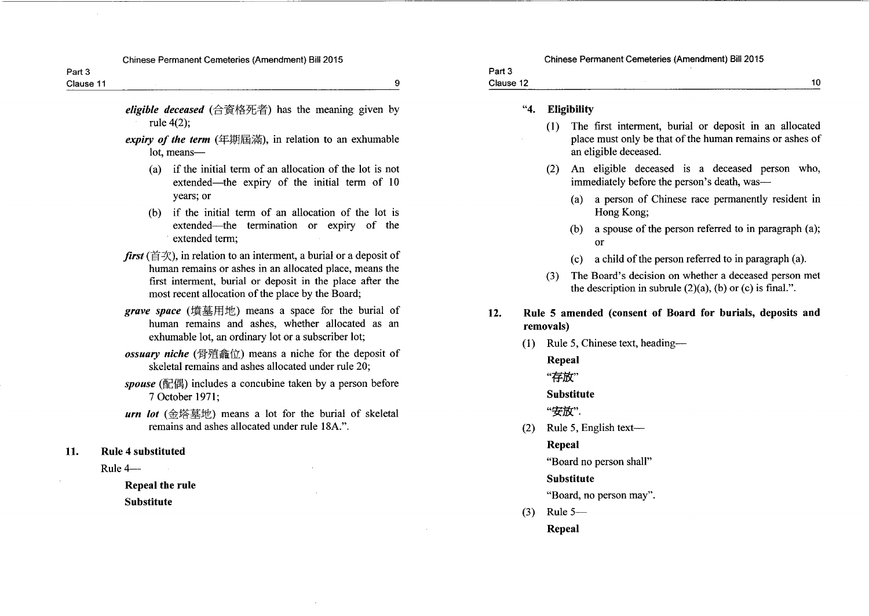Part<sub>3</sub> Clause 11

9

eligible deceased (合資格死者) has the meaning given by rule  $4(2)$ :

- expiry of the term  $(\pm 1)$  ( $\pm 1$ ), in relation to an exhumable lot, means
	- if the initial term of an allocation of the lot is not  $(a)$ extended—the expiry of the initial term of 10 years; or
	- (b) if the initial term of an allocation of the lot is extended—the termination or expiry of the extended term:
- *first* ( $\hat{\equiv} \hat{\equiv} \hat{\equiv} \hat{\equiv}$ ), in relation to an interment, a burial or a deposit of human remains or ashes in an allocated place, means the first interment, burial or deposit in the place after the most recent allocation of the place by the Board;
- grave space (墳墓用地) means a space for the burial of human remains and ashes, whether allocated as an exhumable lot, an ordinary lot or a subscriber lot;
- ossuary niche (骨殖鑫位) means a niche for the deposit of skeletal remains and ashes allocated under rule 20:
- spouse (配偶) includes a concubine taken by a person before 7 October 1971:
- urn lot  $(\triangle$ 塔墓地) means a lot for the burial of skeletal remains and ashes allocated under rule 18A.".
- 11. **Rule 4 substituted** 
	- Rule  $4-$

**Repeal the rule Substitute** 

# Clause 12

#### $"4.$ **Eligibility**

- (1) The first interment, burial or deposit in an allocated place must only be that of the human remains or ashes of an eligible deceased.
- (2) An eligible deceased is a deceased person who, immediately before the person's death, was-
	- (a) a person of Chinese race permanently resident in Hong Kong;
	- a spouse of the person referred to in paragraph (a);  $(b)$ or
	- $(c)$ a child of the person referred to in paragraph (a).
- (3) The Board's decision on whether a deceased person met the description in subrule  $(2)(a)$ ,  $(b)$  or  $(c)$  is final.".
- Rule 5 amended (consent of Board for burials, deposits and  $12.$ removals)
	- Rule 5. Chinese text, heading—  $(1)$ 
		- Repeal

"存放"

### **Substitute**

"安放".

(2) Rule 5, English text-

### Repeal

"Board no person shall"

## **Substitute**

"Board, no person may".

Rule  $5 (3)$ Repeal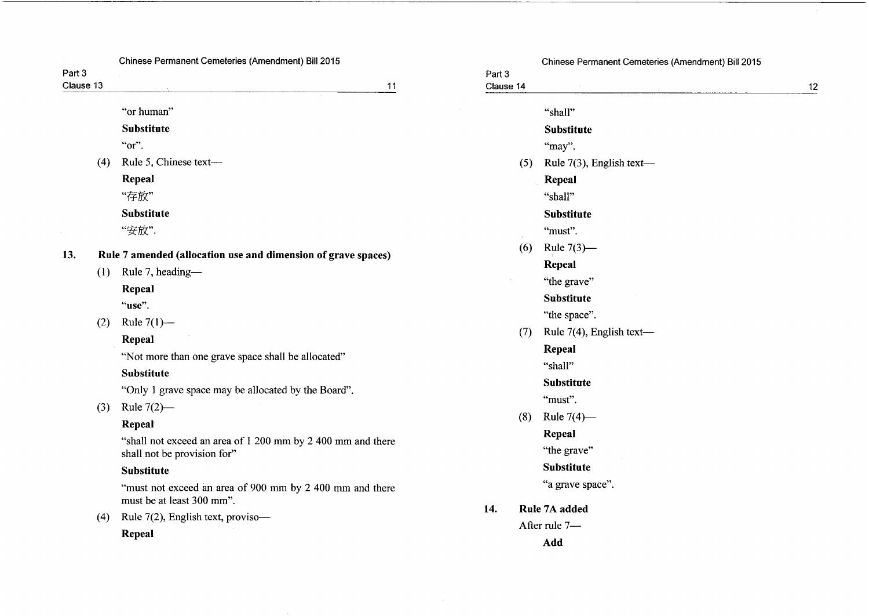|                     | Chinese Permanent Cemeteries (Amendment) Bill 2015                                                                                                                                                                                                                                 |                     | Chinese Permanent Cemeteries (Amendment) Bill 2015                                                                                                                  |    |
|---------------------|------------------------------------------------------------------------------------------------------------------------------------------------------------------------------------------------------------------------------------------------------------------------------------|---------------------|---------------------------------------------------------------------------------------------------------------------------------------------------------------------|----|
| Part 3<br>Clause 13 | 11                                                                                                                                                                                                                                                                                 | Part 3<br>Clause 14 |                                                                                                                                                                     | 12 |
| (4)                 | "or human"<br><b>Substitute</b><br>"or".<br>Rule 5, Chinese text-<br>Repeal<br>"存放"<br><b>Substitute</b>                                                                                                                                                                           | (5)                 | "shall"<br><b>Substitute</b><br>"may".<br>Rule $7(3)$ , English text-<br>Repeal<br>"shall"<br><b>Substitute</b>                                                     |    |
| 13.<br>(1)<br>(2)   | "安放".<br>Rule 7 amended (allocation use and dimension of grave spaces)<br>Rule 7, heading-<br>Repeal<br>"use".<br>Rule $7(1)$ —<br>Repeal<br>"Not more than one grave space shall be allocated"<br>Substitute<br>"Only 1 grave space may be allocated by the Board".               | (6)<br>(7)          | "must".<br>Rule $7(3)$ —<br>Repeal<br>"the grave"<br><b>Substitute</b><br>"the space".<br>Rule 7(4), English text-<br><b>Repeal</b><br>"shall"<br><b>Substitute</b> |    |
| (3)<br>(4)          | Rule $7(2)$ —<br>Repeal<br>"shall not exceed an area of 1 200 mm by 2 400 mm and there<br>shall not be provision for"<br><b>Substitute</b><br>"must not exceed an area of 900 mm by 2 400 mm and there<br>must be at least 300 mm".<br>Rule 7(2), English text, proviso-<br>Repeal | (8)<br>14.          | "must".<br>Rule $7(4)$ —<br>Repeal<br>"the grave"<br><b>Substitute</b><br>"a grave space".<br>Rule 7A added<br>After rule 7-<br>Add                                 |    |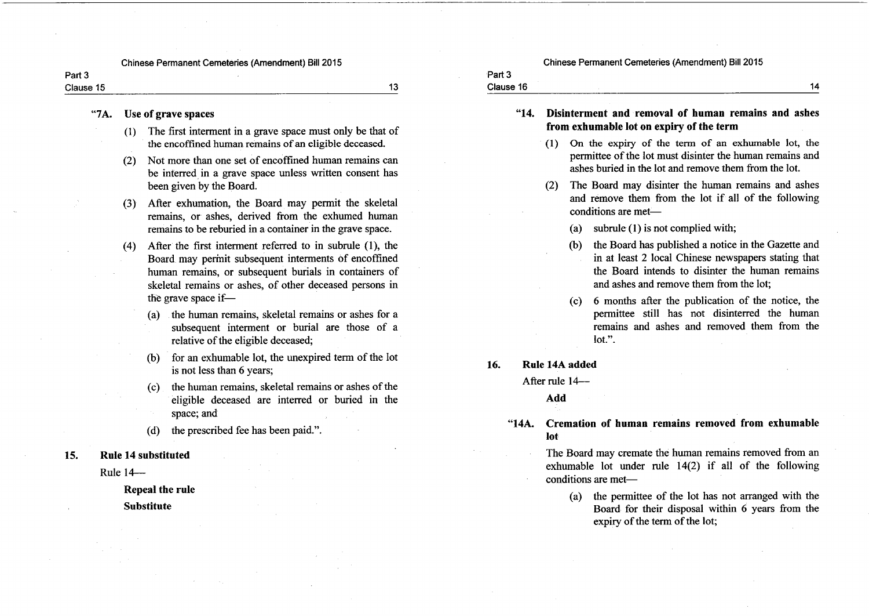Part 3 Clause 15

 $13$ 

#### Use of grave spaces  $"7A.$

- (1) The first interment in a grave space must only be that of the encoffined human remains of an eligible deceased.
- Not more than one set of encoffined human remains can  $(2)$ be interred in a grave space unless written consent has been given by the Board.
- After exhumation, the Board may permit the skeletal  $(3)$ remains, or ashes, derived from the exhumed human remains to be reburied in a container in the grave space.
- After the first interment referred to in subrule (1), the  $(4)$ Board may permit subsequent interments of encoffined human remains, or subsequent burials in containers of skeletal remains or ashes, of other deceased persons in the grave space if-
	- (a) the human remains, skeletal remains or ashes for a subsequent interment or burial are those of a relative of the eligible deceased;
	- for an exhumable lot, the unexpired term of the lot  $(b)$ is not less than 6 years;
	- the human remains, skeletal remains or ashes of the  $(c)$ eligible deceased are interred or buried in the space; and
	- the prescribed fee has been paid.".  $(d)$
- **Rule 14 substituted** 15.
	- Rule  $14-$

Repeal the rule

**Substitute** 

#### Chinese Permanent Cemeteries (Amendment) Bill 2015

"14. Disinterment and removal of human remains and ashes from exhumable lot on expiry of the term

- (1) On the expiry of the term of an exhumable lot, the permittee of the lot must disinter the human remains and ashes buried in the lot and remove them from the lot.
- (2) The Board may disinter the human remains and ashes and remove them from the lot if all of the following conditions are met-
	- $(a)$ subrule (1) is not complied with;
	- the Board has published a notice in the Gazette and  $(b)$ in at least 2 local Chinese newspapers stating that the Board intends to disinter the human remains and ashes and remove them from the lot:
	- (c) 6 months after the publication of the notice, the permittee still has not disinterred the human remains and ashes and removed them from the  $1$ ot.".
- Rule 14A added 16.

Part 3

Clause 16

After rule 14-

Add

#### Cremation of human remains removed from exhumable  $"14A.$ lot

The Board may cremate the human remains removed from an exhumable lot under rule  $14(2)$  if all of the following conditions are met-

(a) the permittee of the lot has not arranged with the Board for their disposal within 6 years from the expiry of the term of the lot;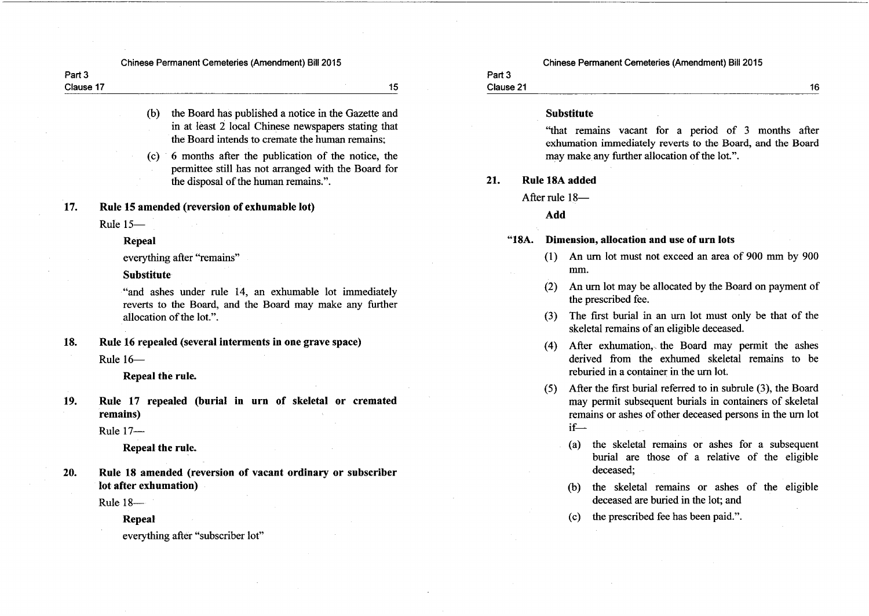| Part 3    |  |
|-----------|--|
| Clause 17 |  |

15

- the Board has published a notice in the Gazette and  $(b)$ in at least 2 local Chinese newspapers stating that the Board intends to cremate the human remains:
- 6 months after the publication of the notice, the  $(c)$ permittee still has not arranged with the Board for the disposal of the human remains.".

Rule 15 amended (reversion of exhumable lot) 17.

Rule 15-

Repeal

everything after "remains"

**Substitute** 

"and ashes under rule 14, an exhumable lot immediately reverts to the Board, and the Board may make any further allocation of the lot.".

Rule 16 repealed (several interments in one grave space) 18.

Rule  $16-$ 

Repeal the rule.

Rule 17 repealed (burial in urn of skeletal or cremated 19. remains)

Rule 17-

Repeal the rule.

Rule 18 amended (reversion of vacant ordinary or subscriber 20. lot after exhumation)

Rule 18-

Repeal

everything after "subscriber lot"

Chinese Permanent Cemeteries (Amendment) Bill 2015

#### Part<sub>3</sub> Clause 21

#### **Substitute**

"that remains vacant for a period of 3 months after exhumation immediately reverts to the Board, and the Board may make any further allocation of the lot.".

#### $21.$ Rule 18A added

After rule 18-

Add

#### "18A. Dimension, allocation and use of urn lots

- (1) An urn lot must not exceed an area of 900 mm by 900 mm.
- An urn lot may be allocated by the Board on payment of  $(2)$ the prescribed fee.
- (3) The first burial in an urn lot must only be that of the skeletal remains of an eligible deceased.
- (4) After exhumation, the Board may permit the ashes derived from the exhumed skeletal remains to be reburied in a container in the urn lot.
- After the first burial referred to in subrule (3), the Board  $(5)$ may permit subsequent burials in containers of skeletal remains or ashes of other deceased persons in the urn lot  $if$ —
	- (a) the skeletal remains or ashes for a subsequent burial are those of a relative of the eligible deceased:
	- (b) the skeletal remains or ashes of the eligible deceased are buried in the lot: and
	- the prescribed fee has been paid.".  $(c)$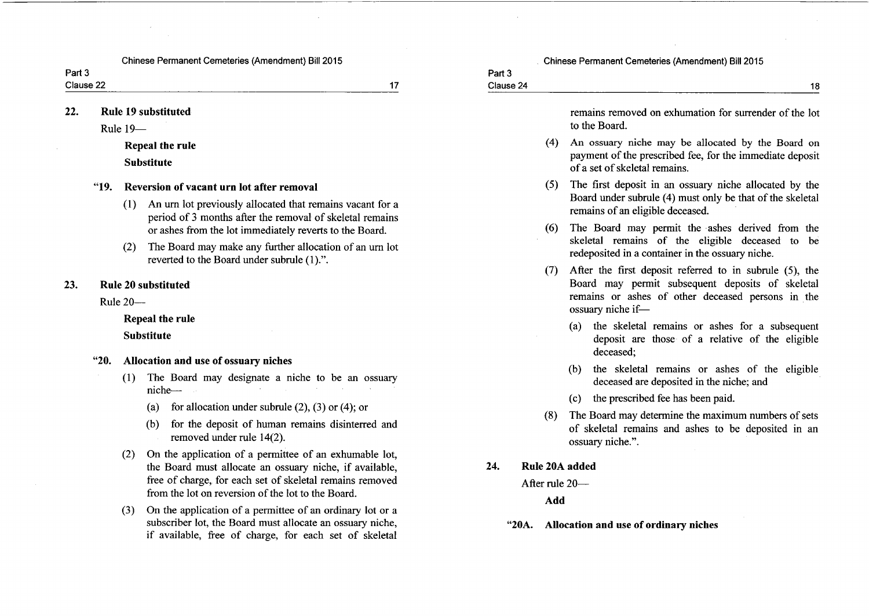Clause 22

 $17$ 

Part 3 Clause 24

 $22.$ **Rule 19 substituted** 

Rule  $19-$ 

Repeal the rule **Substitute** 

#### $"19"$ Reversion of vacant urn lot after removal

- An urn lot previously allocated that remains vacant for a  $(1)$ period of 3 months after the removal of skeletal remains or ashes from the lot immediately reverts to the Board.
- (2) The Board may make any further allocation of an urn lot reverted to the Board under subrule (1).".

#### 23. **Rule 20 substituted**

**Rule 20-**

### **Repeal the rule**

**Substitute** 

#### $"20.$ Allocation and use of ossuary niches

- The Board may designate a niche to be an ossuary  $(1)$ niche-
	- (a) for allocation under subrule  $(2)$ ,  $(3)$  or  $(4)$ ; or
	- for the deposit of human remains disinterred and  $(b)$ removed under rule 14(2).
- On the application of a permittee of an exhumable lot.  $(2)$ the Board must allocate an ossuary niche, if available, free of charge, for each set of skeletal remains removed from the lot on reversion of the lot to the Board
- On the application of a permittee of an ordinary lot or a  $(3)$ subscriber lot, the Board must allocate an ossuary niche. if available, free of charge, for each set of skeletal

remains removed on exhumation for surrender of the lot to the Board.

18

- (4) An ossuary niche may be allocated by the Board on payment of the prescribed fee, for the immediate deposit of a set of skeletal remains.
- (5) The first deposit in an ossuary niche allocated by the Board under subrule (4) must only be that of the skeletal remains of an eligible deceased.
- The Board may permit the ashes derived from the skeletal remains of the eligible deceased to be redeposited in a container in the ossuary niche.
- (7) After the first deposit referred to in subrule (5), the Board may permit subsequent deposits of skeletal remains or ashes of other deceased persons in the ossuary niche if-
	- (a) the skeletal remains or ashes for a subsequent deposit are those of a relative of the eligible deceased:
	- (b) the skeletal remains or ashes of the eligible deceased are deposited in the niche; and
	- (c) the prescribed fee has been paid.
- The Board may determine the maximum numbers of sets  $(8)$ of skeletal remains and ashes to be deposited in an ossuary niche.".
- $24.$ Rule 20A added

After rule 20-

Add

"20A. Allocation and use of ordinary niches

Part<sub>3</sub>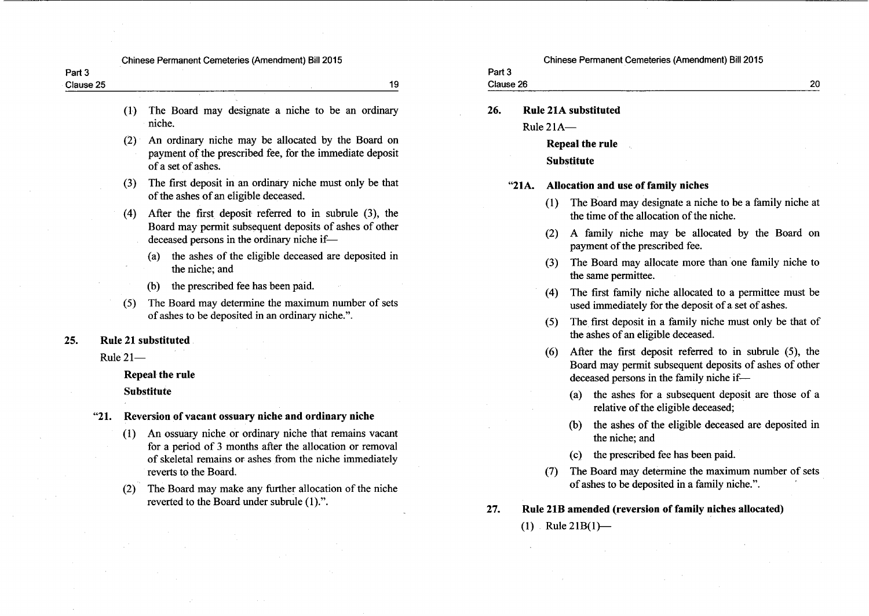| <b>Chinese Permanent Cemeteries (Amendment) Bill 2015</b> |  |  |
|-----------------------------------------------------------|--|--|
|-----------------------------------------------------------|--|--|

| Part 3    |  |  |
|-----------|--|--|
| Clause 25 |  |  |

- The Board may designate a niche to be an ordinary  $(1)$ niche.
- An ordinary niche may be allocated by the Board on  $(2)$ payment of the prescribed fee, for the immediate deposit of a set of ashes.
- The first deposit in an ordinary niche must only be that  $(3)$ of the ashes of an eligible deceased.
- After the first deposit referred to in subrule (3), the  $(4)$ Board may permit subsequent deposits of ashes of other deceased persons in the ordinary niche if-
	- (a) the ashes of the eligible deceased are deposited in the niche: and
	- the prescribed fee has been paid.  $(b)$
- The Board may determine the maximum number of sets  $(5)$ of ashes to be deposited in an ordinary niche.".
- **Rule 21 substituted** 25.
	- Rule  $21-$

**Repeal the rule** 

**Substitute** 

#### Reversion of vacant ossuary niche and ordinary niche  $"21.$

- An ossuary niche or ordinary niche that remains vacant  $(1)$ for a period of 3 months after the allocation or removal of skeletal remains or ashes from the niche immediately reverts to the Board.
- The Board may make any further allocation of the niche  $(2)$ reverted to the Board under subrule (1).".

Chinese Permanent Cemeteries (Amendment) Bill 2015

# Part 3

19

# Clause 26

- 26. **Rule 21A substituted** 
	- Rule  $21A$ —

Repeal the rule **Substitute** 

#### $"21A.$ Allocation and use of family niches

- The Board may designate a niche to be a family niche at  $(1)$ the time of the allocation of the niche.
- (2) A family niche may be allocated by the Board on payment of the prescribed fee.
- (3) The Board may allocate more than one family niche to the same permittee.
- The first family niche allocated to a permittee must be  $(4)$ used immediately for the deposit of a set of ashes.
- (5) The first deposit in a family niche must only be that of the ashes of an eligible deceased.
- After the first deposit referred to in subrule (5), the  $(6)$ Board may permit subsequent deposits of ashes of other deceased persons in the family niche if-
	- (a) the ashes for a subsequent deposit are those of a relative of the eligible deceased;
	- the ashes of the eligible deceased are deposited in  $(b)$ the niche: and
	- the prescribed fee has been paid.  $(c)$
- The Board may determine the maximum number of sets  $(7)$ of ashes to be deposited in a family niche.".
- 27. Rule 21B amended (reversion of family niches allocated)

 $(1)$  Rule 21B $(1)$ —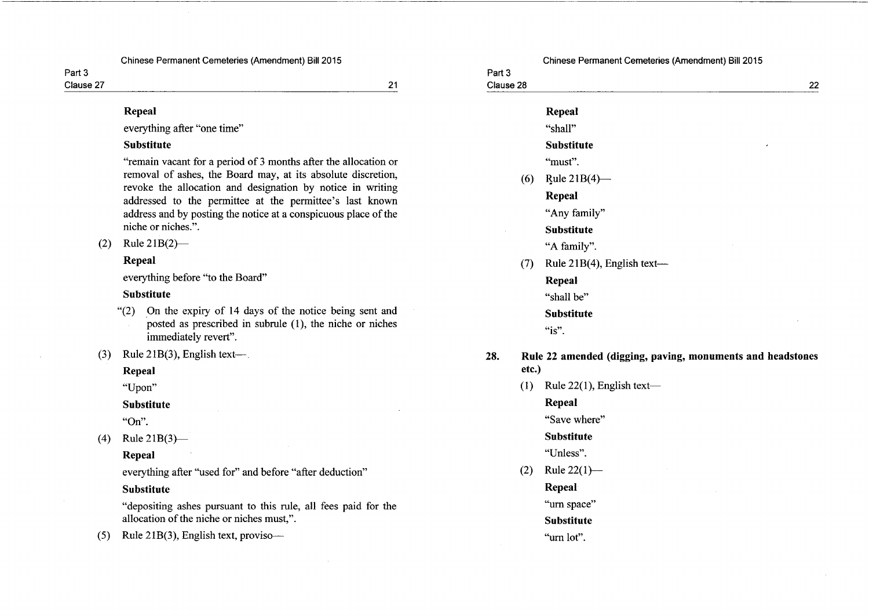Clause 27

21

## Repeal

everything after "one time"

## **Substitute**

"remain vacant for a period of 3 months after the allocation or removal of ashes, the Board may, at its absolute discretion, revoke the allocation and designation by notice in writing addressed to the permittee at the permittee's last known address and by posting the notice at a conspicuous place of the niche or niches.".

#### Rule  $21B(2)$ —  $(2)$

## Repeal

everything before "to the Board"

### **Substitute**

- On the expiry of 14 days of the notice being sent and  $(2)$ posted as prescribed in subrule (1), the niche or niches immediately revert".
- Rule  $21B(3)$ , English text—.  $(3)$

Repeal

"Upon"

### **Substitute**

"On".

(4) Rule  $21B(3)$ —

## **Repeal**

everything after "used for" and before "after deduction"

## **Substitute**

"depositing ashes pursuant to this rule, all fees paid for the allocation of the niche or niches must,".

Rule 21B(3), English text, proviso- $(5)$ 

## Chinese Permanent Cemeteries (Amendment) Bill 2015

#### Part 3 Clause 28

28.

|     | Repeal                        |
|-----|-------------------------------|
|     | "shall"                       |
|     | <b>Substitute</b><br>٠        |
|     | "must".                       |
| (6) | Rule $21B(4)$ —               |
|     | Repeal                        |
|     | "Any family"                  |
|     | <b>Substitute</b>             |
|     | "A family".                   |
| (7) | Rule $21B(4)$ , English text— |
|     | <b>Repeal</b>                 |
|     | "shall be"                    |
|     | Substitute                    |
|     | " $is$ ".                     |

 $(1)$  Rule 22(1), English text—

## **Repeal**

"Save where"

### **Substitute**

"Unless".

Rule  $22(1)$ —  $(2)$ 

## Repeal

"urn space"

- **Substitute**
- "urn lot".

# Part 3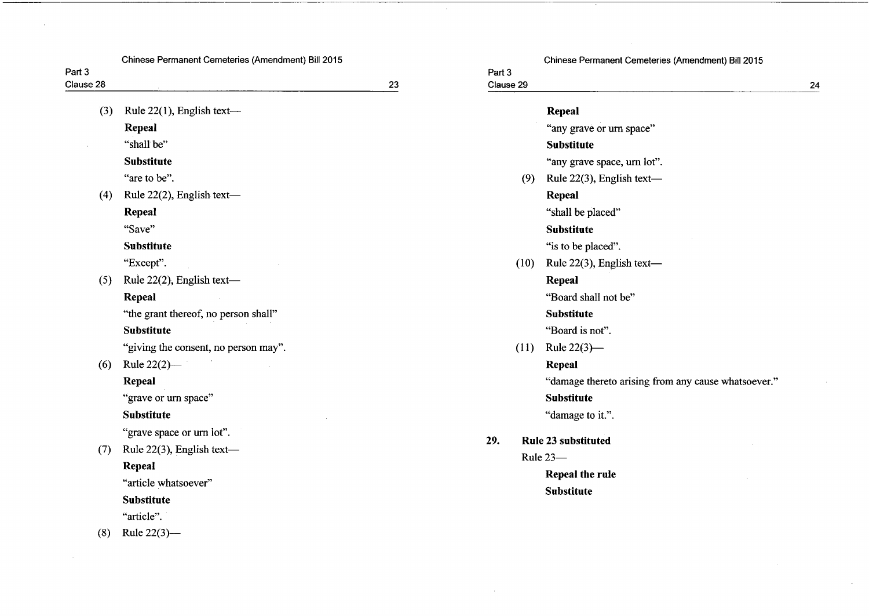|                     | Chinese Permanent Cemeteries (Amendment) Bill 2015 |    |                     | Chinese Permanent Cemeteries (Amendment) Bill 2015  |    |
|---------------------|----------------------------------------------------|----|---------------------|-----------------------------------------------------|----|
| Part 3<br>Clause 28 |                                                    | 23 | Part 3<br>Clause 29 |                                                     |    |
|                     |                                                    |    |                     |                                                     | 24 |
| (3)                 | Rule $22(1)$ , English text-                       |    |                     | <b>Repeal</b>                                       |    |
|                     | Repeal                                             |    |                     | "any grave or urn space"                            |    |
|                     | "shall be"                                         |    |                     | <b>Substitute</b>                                   |    |
|                     | <b>Substitute</b>                                  |    |                     | "any grave space, urn lot".                         |    |
|                     | "are to be".                                       |    | (9)                 | Rule 22(3), English text-                           |    |
| (4)                 | Rule 22(2), English text-                          |    |                     | Repeal                                              |    |
|                     | Repeal                                             |    |                     | "shall be placed"                                   |    |
|                     | "Save"                                             |    |                     | <b>Substitute</b>                                   |    |
|                     | <b>Substitute</b>                                  |    |                     | "is to be placed".                                  |    |
|                     | "Except".                                          |    | (10)                | Rule 22(3), English text-                           |    |
| (5)                 | Rule 22(2), English text-                          |    |                     | Repeal                                              |    |
|                     | Repeal                                             |    |                     | "Board shall not be"                                |    |
|                     | "the grant thereof, no person shall"               |    |                     | <b>Substitute</b>                                   |    |
|                     | <b>Substitute</b>                                  |    |                     | "Board is not".                                     |    |
|                     | "giving the consent, no person may".               |    | (11)                | Rule $22(3)$ —                                      |    |
| (6)                 | Rule $22(2)$ —                                     |    |                     | Repeal                                              |    |
|                     | <b>Repeal</b>                                      |    |                     | "damage thereto arising from any cause whatsoever." |    |
|                     | "grave or urn space"                               |    |                     | <b>Substitute</b>                                   |    |
|                     | <b>Substitute</b>                                  |    |                     | "damage to it.".                                    |    |
|                     | "grave space or urn lot".                          |    | 29.                 | Rule 23 substituted                                 |    |
| (7)                 | Rule 22(3), English text-                          |    |                     | Rule 23-                                            |    |
|                     | Repeal                                             |    |                     | Repeal the rule                                     |    |
|                     | "article whatsoever"                               |    |                     | <b>Substitute</b>                                   |    |
|                     | <b>Substitute</b>                                  |    |                     |                                                     |    |
|                     | "article".                                         |    |                     |                                                     |    |
| (8)                 | Rule $22(3)$ —                                     |    |                     |                                                     |    |

 $\sim$ 

 $\sim 10^{-1}$ 

 $\sim 10^{-11}$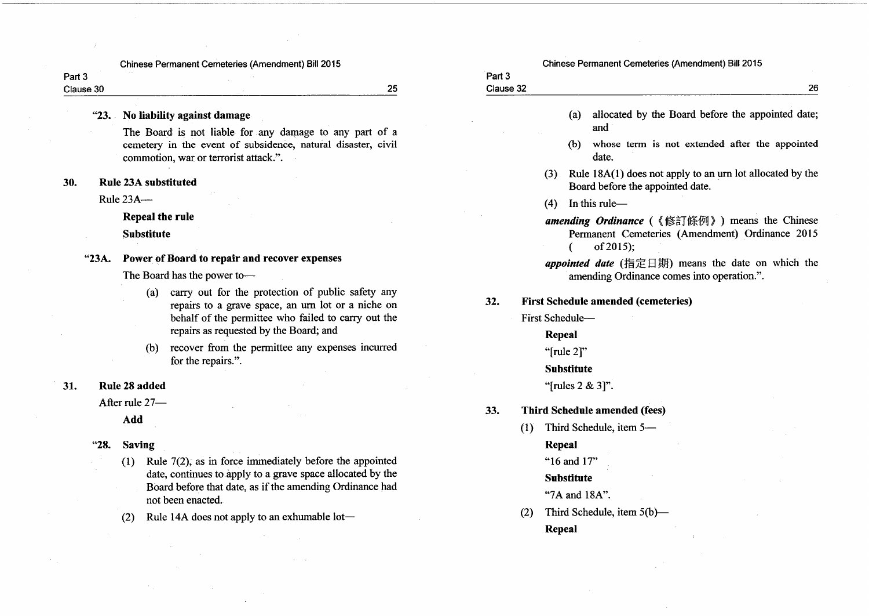Part<sub>3</sub> Clause 30

25

#### Chinese Permanent Cemeteries (Amendment) Bill 2015

| Part 3              |    |
|---------------------|----|
| Clause 32<br>- ---- | າຂ |

#### "23. No liability against damage

The Board is not liable for any damage to any part of a cemetery in the event of subsidence, natural disaster, civil commotion, war or terrorist attack.".

#### 30. **Rule 23A substituted**

Rule  $23A$ --

Repeal the rule

**Substitute** 

#### "23A. Power of Board to repair and recover expenses

The Board has the power to-

- carry out for the protection of public safety any  $(a)$ repairs to a grave space, an urn lot or a niche on behalf of the permittee who failed to carry out the repairs as requested by the Board; and
- recover from the permittee any expenses incurred  $(b)$ for the repairs.".

#### Rule 28 added 31.

After rule 27-

Add

#### "28. **Saving**

- $(1)$  Rule 7(2), as in force immediately before the appointed date, continues to apply to a grave space allocated by the Board before that date, as if the amending Ordinance had not been enacted.
- Rule 14A does not apply to an exhumable lot- $(2)$
- allocated by the Board before the appointed date;  $(a)$ and
- whose term is not extended after the appointed  $(b)$ date.
- Rule 18A(1) does not apply to an urn lot allocated by the  $(3)$ Board before the appointed date.
- In this rule- $(4)$
- amending Ordinance (《修訂條例》) means the Chinese Permanent Cemeteries (Amendment) Ordinance 2015 of 2015);  $\epsilon$
- appointed date (指定日期) means the date on which the amending Ordinance comes into operation.".
- **First Schedule amended (cemeteries)**  $32.$ 
	- First Schedule-
		- **Repeal**

"[rule 2]"

**Substitute** 

"[rules  $2 & 3$ ]".

#### **Third Schedule amended (fees)** 33.

(1) Third Schedule, item 5-**Repeal** 

"16 and 17"

## **Substitute**

#### "7A and 18A".

Third Schedule, item 5(b)- $(2)$ **Repeal**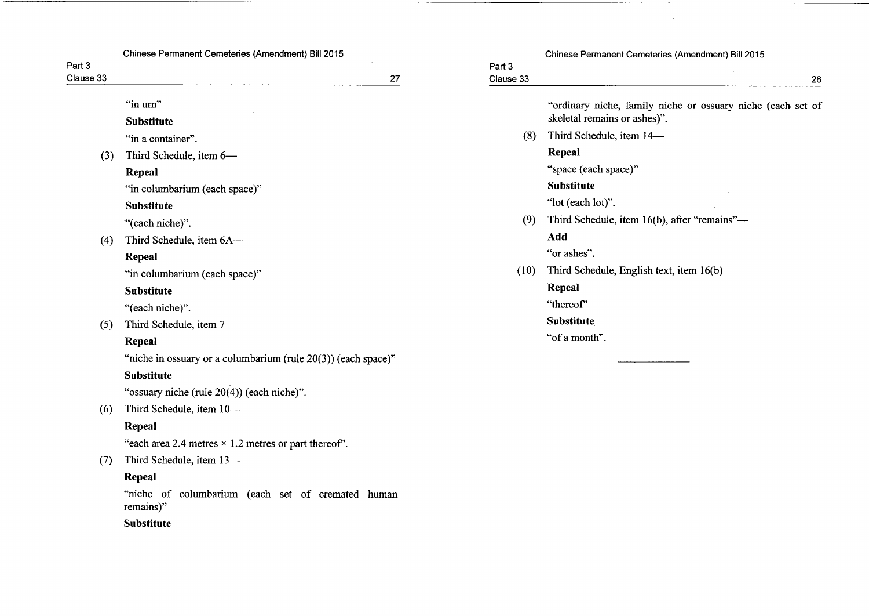| Part 3    | Chinese Permanent Cemeteries (Amendment) Bill 2015               |                     | Chinese Permanent Cemeteries (Amendment) Bill 2015          |
|-----------|------------------------------------------------------------------|---------------------|-------------------------------------------------------------|
| Clause 33 | 27                                                               | Part 3<br>Clause 33 | 28                                                          |
|           | "in urn"                                                         |                     | "ordinary niche, family niche or ossuary niche (each set of |
|           | <b>Substitute</b>                                                |                     | skeletal remains or ashes)".                                |
|           | "in a container".                                                | (8)                 | Third Schedule, item 14-                                    |
| (3)       | Third Schedule, item 6-                                          |                     | Repeal                                                      |
|           | Repeal                                                           |                     | "space (each space)"                                        |
|           | "in columbarium (each space)"                                    |                     | <b>Substitute</b>                                           |
|           | <b>Substitute</b>                                                |                     | "lot (each lot)".                                           |
|           | "(each niche)".                                                  | (9)                 | Third Schedule, item 16(b), after "remains"-                |
| (4)       | Third Schedule, item 6A-                                         |                     | Add                                                         |
|           | Repeal                                                           |                     | "or ashes".                                                 |
|           | "in columbarium (each space)"                                    | (10)                | Third Schedule, English text, item $16(b)$ —                |
|           | <b>Substitute</b>                                                |                     | Repeal                                                      |
|           | "(each niche)".                                                  |                     | "thereof"                                                   |
| (5)       | Third Schedule, item 7-                                          |                     | <b>Substitute</b>                                           |
|           | Repeal                                                           |                     | "of a month".                                               |
|           | "niche in ossuary or a columbarium (rule $20(3)$ ) (each space)" |                     |                                                             |
|           | <b>Substitute</b>                                                |                     |                                                             |
| (6)       | "ossuary niche (rule 20(4)) (each niche)".                       |                     |                                                             |
|           | Third Schedule, item 10-                                         |                     |                                                             |
|           | Repeal                                                           |                     |                                                             |
|           | "each area 2.4 metres $\times$ 1.2 metres or part thereof".      |                     |                                                             |
| (7)       | Third Schedule, item 13-                                         |                     |                                                             |
|           | <b>Repeal</b>                                                    |                     |                                                             |

 $\sim$ 

 $\sim$ 

 $\sim$ 

"niche of columbarium (each set of cremated human remains)"

Substitute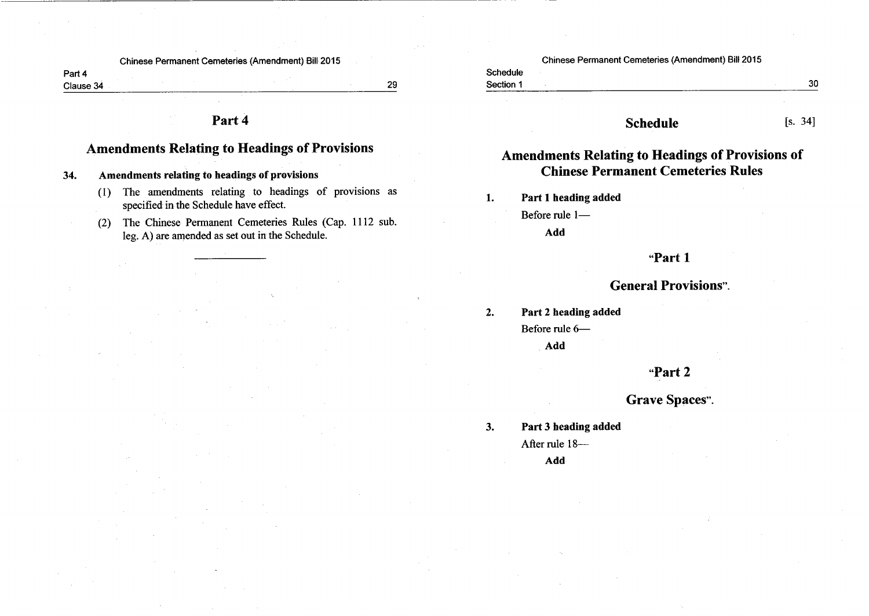Part 4 Clause 34

29

# Part 4

# **Amendments Relating to Headings of Provisions**

34. Amendments relating to headings of provisions

- (1) The amendments relating to headings of provisions as specified in the Schedule have effect.
- (2) The Chinese Permanent Cemeteries Rules (Cap. 1112 sub. leg. A) are amended as set out in the Schedule.

| Chinese Permanent Cemeteries (Amendment) Bill 2015 |  |  |
|----------------------------------------------------|--|--|
|                                                    |  |  |

#### Schedule Section 1

## $[s. 34]$

# **Amendments Relating to Headings of Provisions of Chinese Permanent Cemeteries Rules**

**Schedule** 

Part 1 heading added  $1.$ 

Before rule 1-

Add

# "Part 1

# **General Provisions".**

 $2.$ Part 2 heading added Before rule 6-Add

## "Part 2

# **Grave Spaces".**

Part 3 heading added  $3.$ After rule 18-Add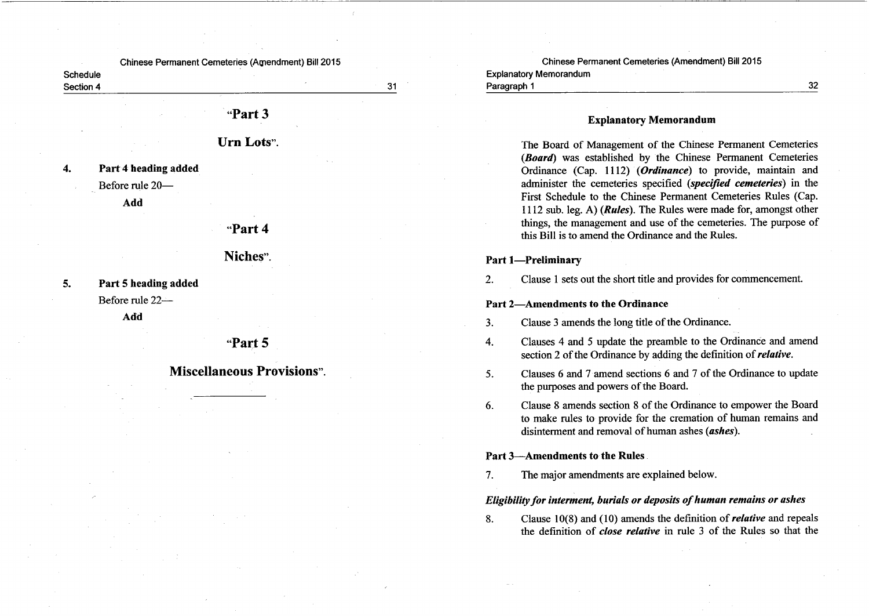Schedule Section 4

 $31$ 

"Part 3

Urn Lots".

Part 4 heading added  $\boldsymbol{4}$ .

Before rule 20-

Add

## "Part 4

Niches"

 $5.$ Part 5 heading added Before rule 22-

Add

# "Part 5

**Miscellaneous Provisions"** 

Chinese Permanent Cemeteries (Amendment) Bill 2015 **Explanatory Memorandum** Paragraph 1

## **Explanatory Memorandum**

The Board of Management of the Chinese Permanent Cemeteries (Board) was established by the Chinese Permanent Cemeteries Ordinance (Cap. 1112) (Ordinance) to provide, maintain and administer the cemeteries specified (specified cemeteries) in the First Schedule to the Chinese Permanent Cemeteries Rules (Cap. 1112 sub. leg. A) (*Rules*). The Rules were made for, amongst other things, the management and use of the cemeteries. The purpose of this Bill is to amend the Ordinance and the Rules.

 $32<sub>2</sub>$ 

## **Part 1-Preliminary**

Clause 1 sets out the short title and provides for commencement.  $2.$ 

#### Part 2-Amendments to the Ordinance

- Clause 3 amends the long title of the Ordinance.  $3.$
- $\overline{4}$ . Clauses 4 and 5 update the preamble to the Ordinance and amend section 2 of the Ordinance by adding the definition of *relative*.

Clauses 6 and 7 amend sections 6 and 7 of the Ordinance to update  $5<sub>1</sub>$ the purposes and powers of the Board.

Clause 8 amends section 8 of the Ordinance to empower the Board 6. to make rules to provide for the cremation of human remains and disinterment and removal of human ashes (ashes).

#### Part 3—Amendments to the Rules

The major amendments are explained below.  $7.$ 

### Eligibility for interment, burials or deposits of human remains or ashes

Clause  $10(8)$  and (10) amends the definition of *relative* and repeals 8. the definition of *close relative* in rule 3 of the Rules so that the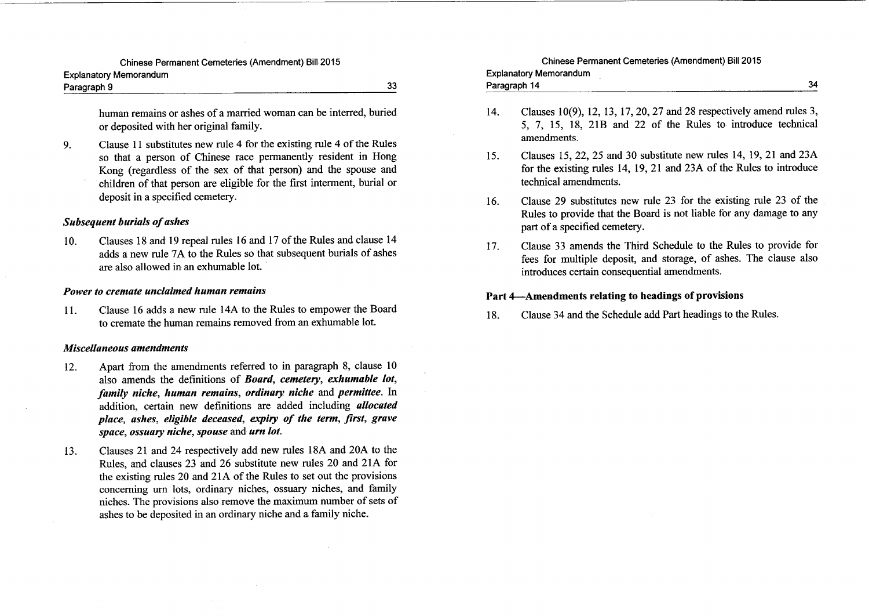| Explanatory Memorandum |  |  |
|------------------------|--|--|
| Paragraph 9            |  |  |

human remains or ashes of a married woman can be interred, buried or deposited with her original family.

33

Clause 11 substitutes new rule 4 for the existing rule 4 of the Rules  $9<sub>1</sub>$ so that a person of Chinese race permanently resident in Hong Kong (regardless of the sex of that person) and the spouse and children of that person are eligible for the first interment, burial or deposit in a specified cemetery.

#### **Subsequent burials of ashes**

Clauses 18 and 19 repeal rules 16 and 17 of the Rules and clause 14 10. adds a new rule 7A to the Rules so that subsequent burials of ashes are also allowed in an exhumable lot.

#### Power to cremate unclaimed human remains

Clause 16 adds a new rule 14A to the Rules to empower the Board  $11.$ to cremate the human remains removed from an exhumable lot.

#### **Miscellaneous amendments**

- Apart from the amendments referred to in paragraph 8, clause 10  $12.$ also amends the definitions of Board, cemetery, exhumable lot, family niche, human remains, ordinary niche and permittee. In addition, certain new definitions are added including *allocated* place, ashes, eligible deceased, expiry of the term, first, grave space, ossuary niche, spouse and urn lot.
- Clauses 21 and 24 respectively add new rules 18A and 20A to the 13. Rules, and clauses 23 and 26 substitute new rules 20 and 21A for the existing rules 20 and 21A of the Rules to set out the provisions concerning urn lots, ordinary niches, ossuary niches, and family niches. The provisions also remove the maximum number of sets of ashes to be deposited in an ordinary niche and a family niche.

# Chinese Permanent Cemeteries (Amendment) Bill 2015

#### **Explanatory Memorandum** Paragraph 14

- Clauses 10(9), 12, 13, 17, 20, 27 and 28 respectively amend rules 3,  $14.$ 5, 7, 15, 18, 21B and 22 of the Rules to introduce technical amendments.
- Clauses 15, 22, 25 and 30 substitute new rules 14, 19, 21 and 23A 15. for the existing rules 14, 19, 21 and 23A of the Rules to introduce technical amendments.
- Clause 29 substitutes new rule 23 for the existing rule 23 of the 16. Rules to provide that the Board is not liable for any damage to any part of a specified cemetery.
- Clause 33 amends the Third Schedule to the Rules to provide for 17. fees for multiple deposit, and storage, of ashes. The clause also introduces certain consequential amendments.

## Part 4—Amendments relating to headings of provisions

Clause 34 and the Schedule add Part headings to the Rules. 18.